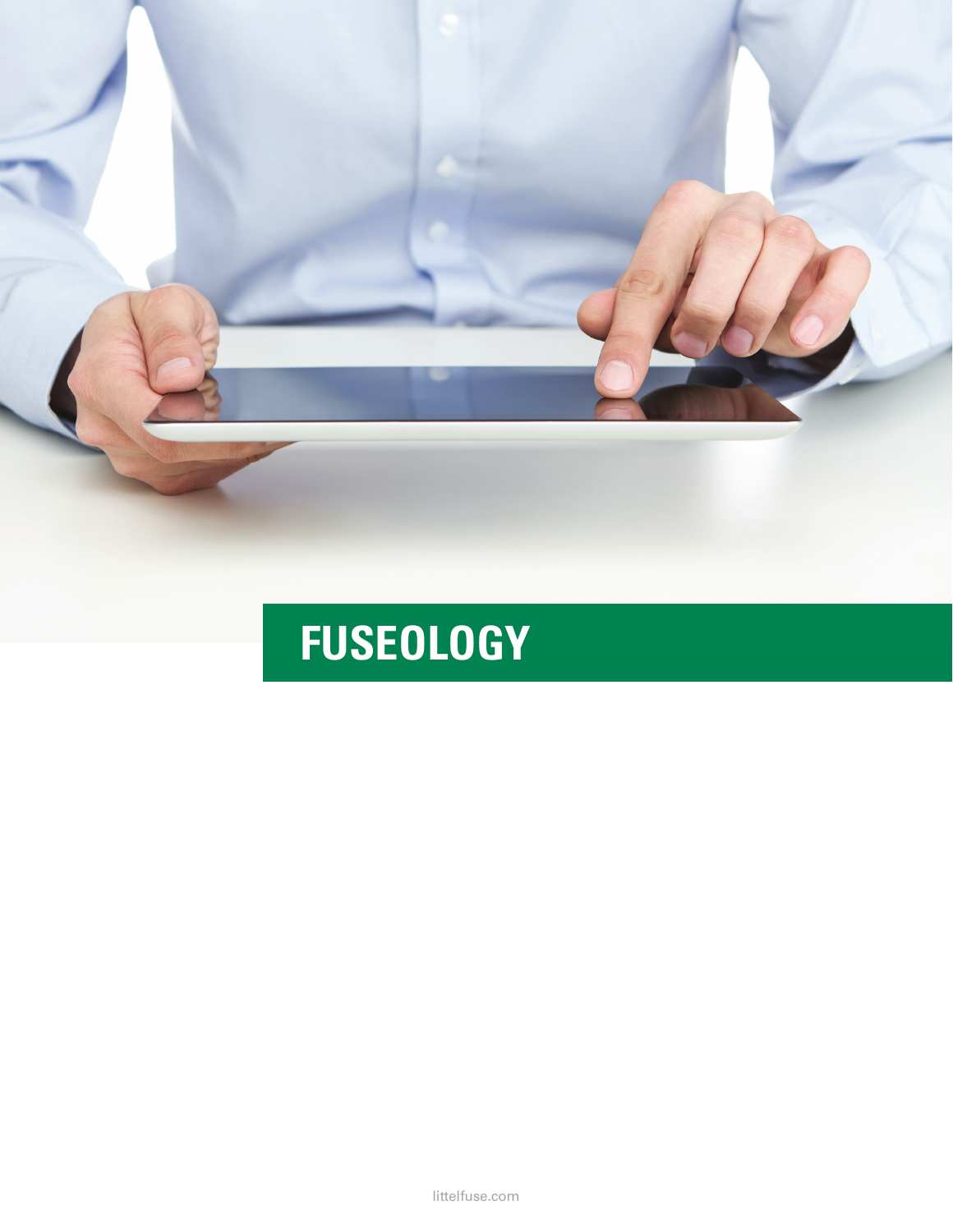

# **FUSEOLOGY**

littelfuse.com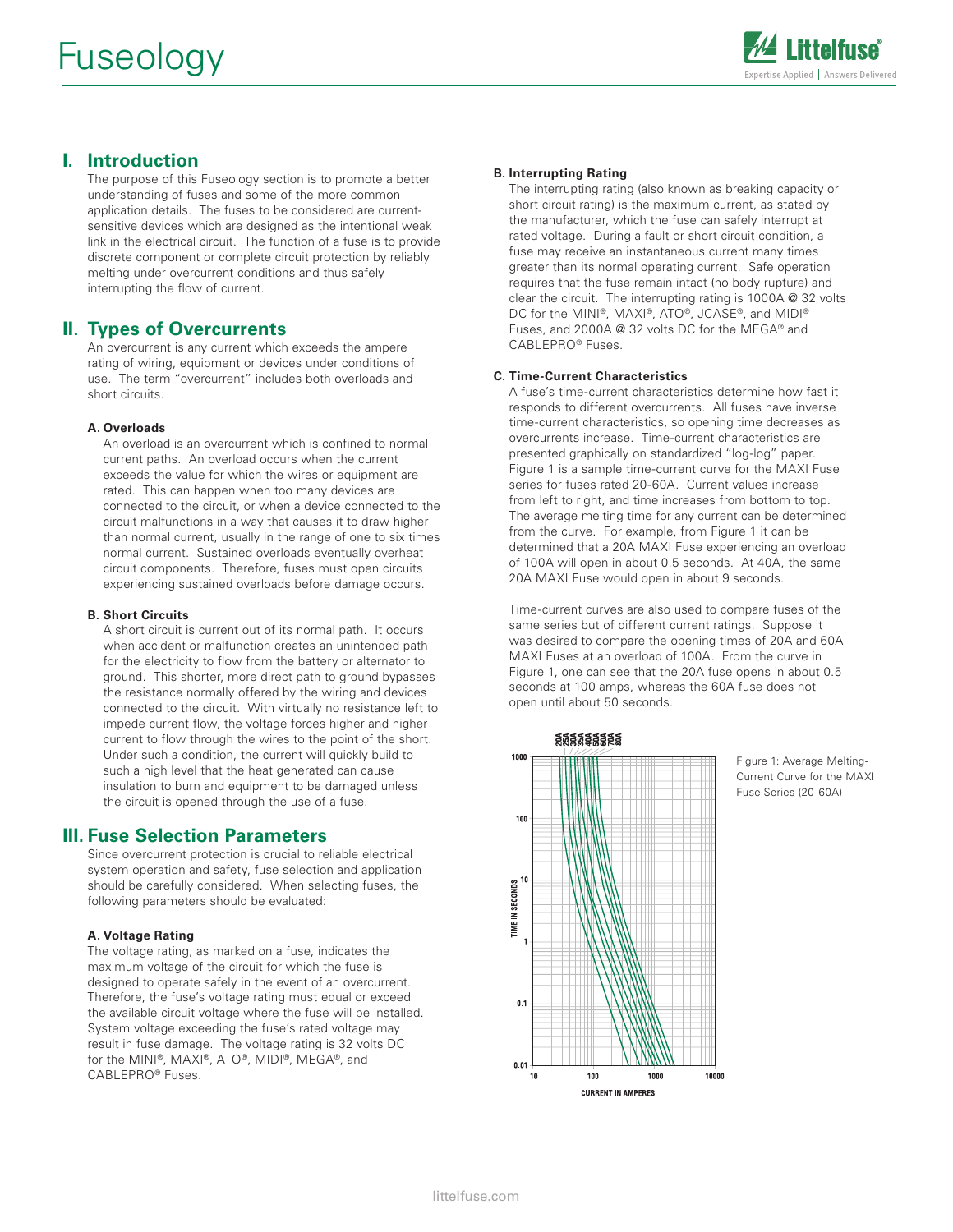

# **I. Introduction**

 The purpose of this Fuseology section is to promote a better understanding of fuses and some of the more common application details. The fuses to be considered are currentsensitive devices which are designed as the intentional weak link in the electrical circuit. The function of a fuse is to provide discrete component or complete circuit protection by reliably melting under overcurrent conditions and thus safely interrupting the flow of current.

# **II. Types of Overcurrents**

 An overcurrent is any current which exceeds the ampere rating of wiring, equipment or devices under conditions of use. The term "overcurrent" includes both overloads and short circuits.

#### **A. Overloads**

 An overload is an overcurrent which is confined to normal current paths. An overload occurs when the current exceeds the value for which the wires or equipment are rated. This can happen when too many devices are connected to the circuit, or when a device connected to the circuit malfunctions in a way that causes it to draw higher than normal current, usually in the range of one to six times normal current. Sustained overloads eventually overheat circuit components. Therefore, fuses must open circuits experiencing sustained overloads before damage occurs.

#### **B. Short Circuits**

 A short circuit is current out of its normal path. It occurs when accident or malfunction creates an unintended path for the electricity to flow from the battery or alternator to ground. This shorter, more direct path to ground bypasses the resistance normally offered by the wiring and devices connected to the circuit. With virtually no resistance left to impede current flow, the voltage forces higher and higher current to flow through the wires to the point of the short. Under such a condition, the current will quickly build to such a high level that the heat generated can cause insulation to burn and equipment to be damaged unless the circuit is opened through the use of a fuse.

## **III. Fuse Selection Parameters**

 Since overcurrent protection is crucial to reliable electrical system operation and safety, fuse selection and application should be carefully considered. When selecting fuses, the following parameters should be evaluated:

#### **A. Voltage Rating**

The voltage rating, as marked on a fuse, indicates the maximum voltage of the circuit for which the fuse is designed to operate safely in the event of an overcurrent. Therefore, the fuse's voltage rating must equal or exceed the available circuit voltage where the fuse will be installed. System voltage exceeding the fuse's rated voltage may result in fuse damage. The voltage rating is 32 volts DC for the MINI®, MAXI®, ATO®, MIDI®, MEGA®, and CABLEPRO® Fuses.

#### **B. Interrupting Rating**

 The interrupting rating (also known as breaking capacity or short circuit rating) is the maximum current, as stated by the manufacturer, which the fuse can safely interrupt at rated voltage. During a fault or short circuit condition, a fuse may receive an instantaneous current many times greater than its normal operating current. Safe operation requires that the fuse remain intact (no body rupture) and clear the circuit. The interrupting rating is 1000A @ 32 volts DC for the MINI®, MAXI®, ATO®, JCASE®, and MIDI® Fuses, and 2000A @ 32 volts DC for the MEGA® and CABLEPRO® Fuses.

#### **C. Time-Current Characteristics**

 A fuse's time-current characteristics determine how fast it responds to different overcurrents. All fuses have inverse time-current characteristics, so opening time decreases as overcurrents increase. Time-current characteristics are presented graphically on standardized "log-log" paper. Figure 1 is a sample time-current curve for the MAXI Fuse series for fuses rated 20-60A. Current values increase from left to right, and time increases from bottom to top. The average melting time for any current can be determined from the curve. For example, from Figure 1 it can be determined that a 20A MAXI Fuse experiencing an overload of 100A will open in about 0.5 seconds. At 40A, the same 20A MAXI Fuse would open in about 9 seconds.

 Time-current curves are also used to compare fuses of the same series but of different current ratings. Suppose it was desired to compare the opening times of 20A and 60A MAXI Fuses at an overload of 100A. From the curve in Figure 1, one can see that the 20A fuse opens in about 0.5 seconds at 100 amps, whereas the 60A fuse does not open until about 50 seconds.



Figure 1: Average Melting-Current Curve for the MAXI Fuse Series (20-60A)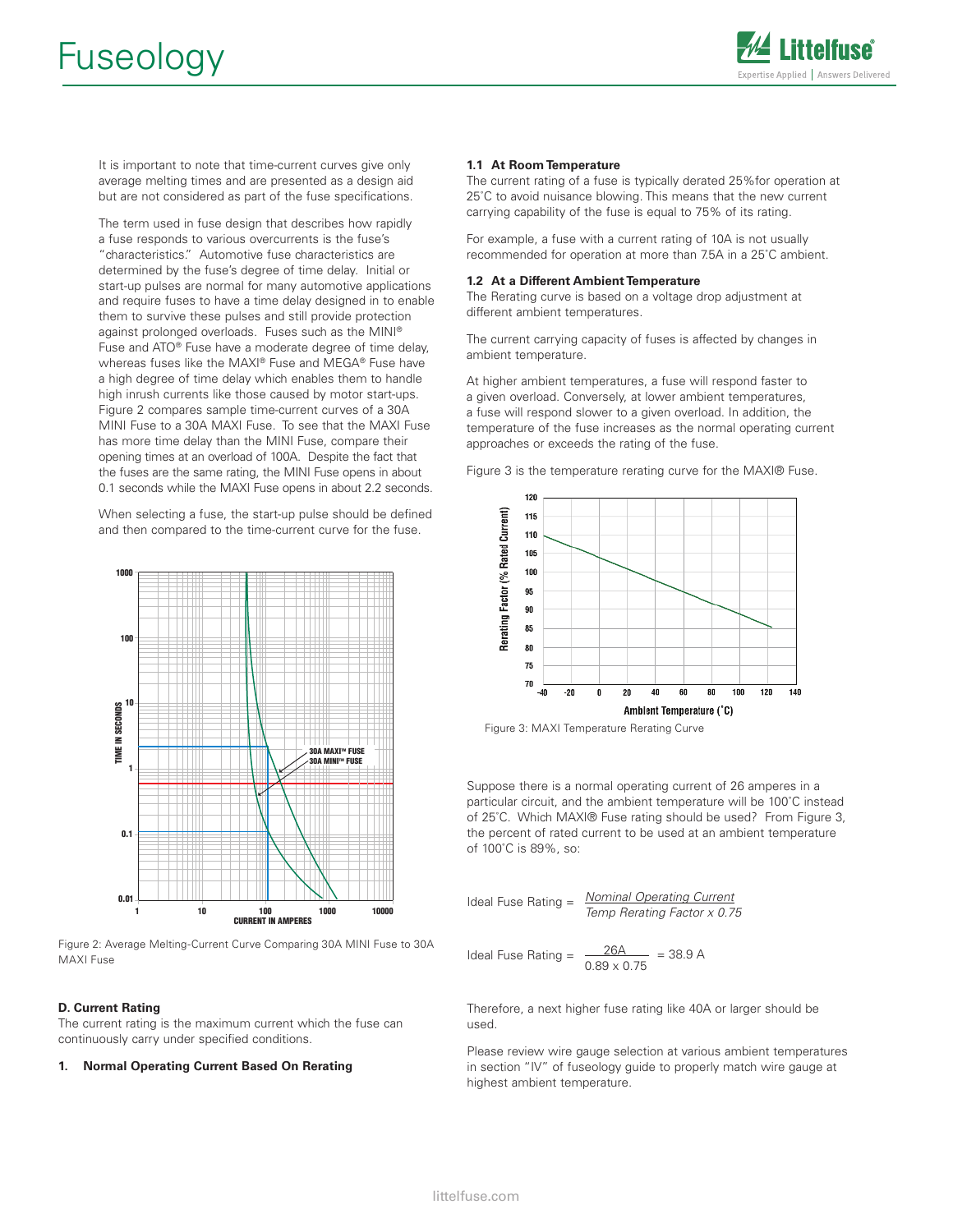

 It is important to note that time-current curves give only average melting times and are presented as a design aid but are not considered as part of the fuse specifications.

 The term used in fuse design that describes how rapidly a fuse responds to various overcurrents is the fuse's "characteristics." Automotive fuse characteristics are determined by the fuse's degree of time delay. Initial or start-up pulses are normal for many automotive applications and require fuses to have a time delay designed in to enable them to survive these pulses and still provide protection against prolonged overloads. Fuses such as the MINI® Fuse and ATO® Fuse have a moderate degree of time delay, whereas fuses like the MAXI® Fuse and MEGA® Fuse have a high degree of time delay which enables them to handle high inrush currents like those caused by motor start-ups. Figure 2 compares sample time-current curves of a 30A MINI Fuse to a 30A MAXI Fuse. To see that the MAXI Fuse has more time delay than the MINI Fuse, compare their opening times at an overload of 100A. Despite the fact that the fuses are the same rating, the MINI Fuse opens in about 0.1 seconds while the MAXI Fuse opens in about 2.2 seconds.

 When selecting a fuse, the start-up pulse should be defined and then compared to the time-current curve for the fuse.



Figure 2: Average Melting-Current Curve Comparing 30A MINI Fuse to 30A MAXI Fuse

#### **D. Current Rating**

The current rating is the maximum current which the fuse can continuously carry under specified conditions.

#### **1. Normal Operating Current Based On Rerating**

#### **1.1 At Room Temperature**

The current rating of a fuse is typically derated 25%for operation at 25˚C to avoid nuisance blowing. This means that the new current carrying capability of the fuse is equal to 75% of its rating.

For example, a fuse with a current rating of 10A is not usually recommended for operation at more than 7.5A in a 25˚C ambient.

#### **1.2 At a Different Ambient Temperature**

The Rerating curve is based on a voltage drop adjustment at different ambient temperatures.

The current carrying capacity of fuses is affected by changes in ambient temperature.

At higher ambient temperatures, a fuse will respond faster to a given overload. Conversely, at lower ambient temperatures, a fuse will respond slower to a given overload. In addition, the temperature of the fuse increases as the normal operating current approaches or exceeds the rating of the fuse.

Figure 3 is the temperature rerating curve for the MAXI® Fuse.



Figure 3: MAXI Temperature Rerating Curve

Suppose there is a normal operating current of 26 amperes in a particular circuit, and the ambient temperature will be 100˚C instead of 25˚C. Which MAXI® Fuse rating should be used? From Figure 3, the percent of rated current to be used at an ambient temperature of 100˚C is 89%, so:

Ideal Fuse Rating = 
$$
\frac{\text{Nominal Operating Current}}{\text{Temp Rerating Factor} \times 0.75}
$$

Ideal Fuse Rating = 
$$
\frac{26A}{0.89 \times 0.75} = 38.9 A
$$

Therefore, a next higher fuse rating like 40A or larger should be used.

Please review wire gauge selection at various ambient temperatures in section "IV" of fuseology guide to properly match wire gauge at highest ambient temperature.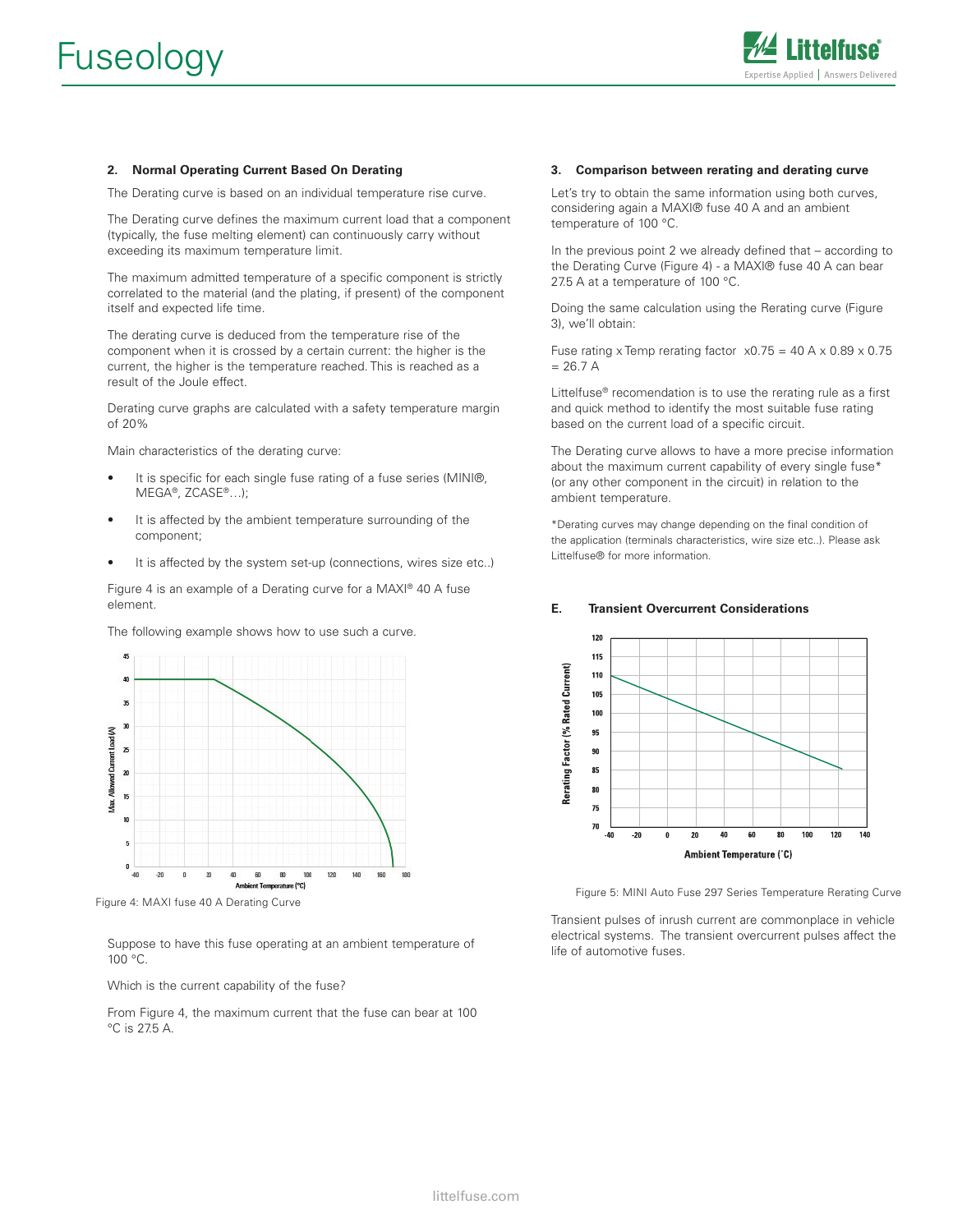

#### **2. Normal Operating Current Based On Derating**

The Derating curve is based on an individual temperature rise curve.

The Derating curve defines the maximum current load that a component (typically, the fuse melting element) can continuously carry without exceeding its maximum temperature limit.

The maximum admitted temperature of a specific component is strictly correlated to the material (and the plating, if present) of the component itself and expected life time.

The derating curve is deduced from the temperature rise of the component when it is crossed by a certain current: the higher is the current, the higher is the temperature reached. This is reached as a result of the Joule effect.

Derating curve graphs are calculated with a safety temperature margin of 20%

Main characteristics of the derating curve:

- It is specific for each single fuse rating of a fuse series (MINI®, MEGA®, ZCASE®…);
- It is affected by the ambient temperature surrounding of the component;
- It is affected by the system set-up (connections, wires size etc..)

Figure 4 is an example of a Derating curve for a MAXI® 40 A fuse element.

The following example shows how to use such a curve.



Figure 4: MAXI fuse 40 A Derating Curve

Suppose to have this fuse operating at an ambient temperature of 100 °C.

Which is the current capability of the fuse?

From Figure 4, the maximum current that the fuse can bear at 100 °C is 27.5 A.

#### **3. Comparison between rerating and derating curve**

Let's try to obtain the same information using both curves, considering again a MAXI® fuse 40 A and an ambient temperature of 100 °C.

In the previous point 2 we already defined that – according to the Derating Curve (Figure 4) - a MAXI® fuse 40 A can bear 27.5 A at a temperature of 100 °C.

Doing the same calculation using the Rerating curve (Figure 3), we'll obtain:

Fuse rating x Temp rerating factor  $x0.75 = 40$  A x 0.89 x 0.75  $= 26.7 A$ 

Littelfuse® recomendation is to use the rerating rule as a first and quick method to identify the most suitable fuse rating based on the current load of a specific circuit.

The Derating curve allows to have a more precise information about the maximum current capability of every single fuse\* (or any other component in the circuit) in relation to the ambient temperature.

\*Derating curves may change depending on the final condition of the application (terminals characteristics, wire size etc..). Please ask Littelfuse® for more information.

#### **E. Transient Overcurrent Considerations**



Figure 5: MINI Auto Fuse 297 Series Temperature Rerating Curve

Transient pulses of inrush current are commonplace in vehicle electrical systems. The transient overcurrent pulses affect the life of automotive fuses.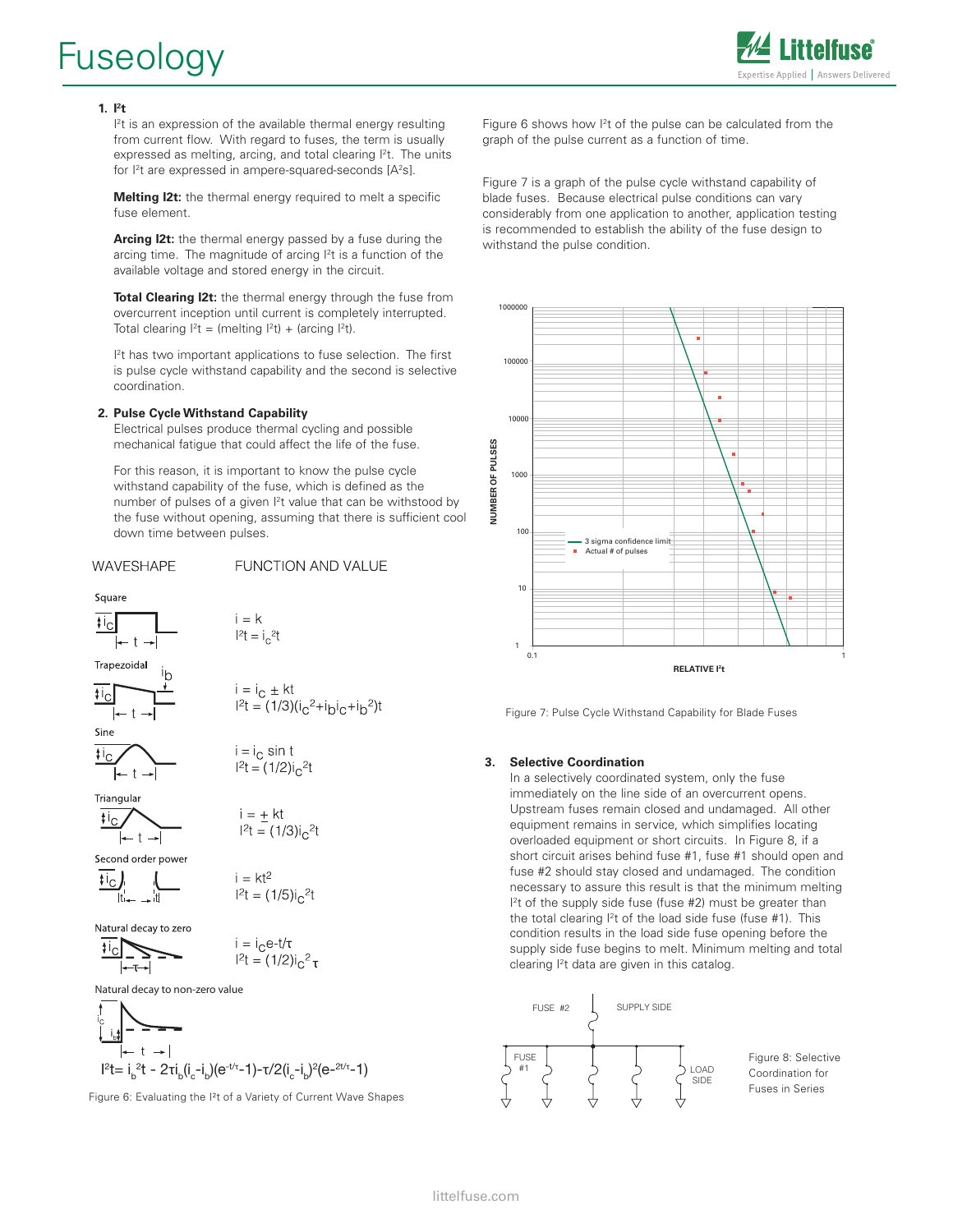# Fuseology



#### $1.$  **I**<sup>2</sup>**t**

I<sup>2</sup>t is an expression of the available thermal energy resulting from current flow. With regard to fuses, the term is usually expressed as melting, arcing, and total clearing  $l^2t$ . The units for <sup>12</sup>t are expressed in ampere-squared-seconds [A<sup>2</sup>s].

 **Melting I2t:** the thermal energy required to melt a specific fuse element.

 **Arcing I2t:** the thermal energy passed by a fuse during the arcing time. The magnitude of arcing l<sup>2</sup>t is a function of the available voltage and stored energy in the circuit.

 **Total Clearing I2t:** the thermal energy through the fuse from overcurrent inception until current is completely interrupted. Total clearing  $I^2t = (melting I^2t) + (arcing I^2t)$ .

**International** <sup>2</sup>t has two important applications to fuse selection. The first is pulse cycle withstand capability and the second is selective coordination.

#### **2. Pulse Cycle Withstand Capability**

 Electrical pulses produce thermal cycling and possible mechanical fatigue that could affect the life of the fuse.

 For this reason, it is important to know the pulse cycle withstand capability of the fuse, which is defined as the number of pulses of a given l<sup>2</sup>t value that can be withstood by the fuse without opening, assuming that there is sufficient cool down time between pulses.

FUNCTION AND VALUE

#### WAVESHAPE

### Square  $i = k$  $\mathfrak{t}$ ic  $1^{2}t = i_{0}^{2}t$ Trapezoidal  $i = i_C \pm kt$  $I^{2}t = (1/3)(i_{C}^{2}+i_{D}i_{C}+i_{D}^{2})t$ Sine  $i = i_C \sin t$  $\mathfrak{t}$ ic  $1^2t = (1/2)i<sub>0</sub>$ <sup>2</sup>t Triangular  $i = + k t$  $\mathfrak{t}$ <sub>ic</sub>  $I^2t = (1/3)i_0^2$ Second order power  $i = kt^2$  $\mathfrak{t}$ <sub>ic</sub>  $1^2t = (1/5)i<sub>c</sub>^2t$ Natural decay to zero  $i = i_C e^{-t/\tau}$ <br> $l^2 t = (1/2)i_C^2 \tau$ Natural decay to non-zero value

$$
\frac{1}{1+t} = \frac{1}{1+t} = \frac{1}{1+t} = \frac{1}{1+t} = \frac{1}{1+t} = \frac{1}{1+t} = \frac{1}{1+t} = \frac{1}{1+t} = \frac{1}{1+t} = \frac{1}{1+t} = \frac{1}{1+t} = \frac{1}{1+t} = \frac{1}{1+t} = \frac{1}{1+t} = \frac{1}{1+t} = \frac{1}{1+t} = \frac{1}{1+t} = \frac{1}{1+t} = \frac{1}{1+t} = \frac{1}{1+t} = \frac{1}{1+t} = \frac{1}{1+t} = \frac{1}{1+t} = \frac{1}{1+t} = \frac{1}{1+t} = \frac{1}{1+t} = \frac{1}{1+t} = \frac{1}{1+t} = \frac{1}{1+t} = \frac{1}{1+t} = \frac{1}{1+t} = \frac{1}{1+t} = \frac{1}{1+t} = \frac{1}{1+t} = \frac{1}{1+t} = \frac{1}{1+t} = \frac{1}{1+t} = \frac{1}{1+t} = \frac{1}{1+t} = \frac{1}{1+t} = \frac{1}{1+t} = \frac{1}{1+t} = \frac{1}{1+t} = \frac{1}{1+t} = \frac{1}{1+t} = \frac{1}{1+t} = \frac{1}{1+t} = \frac{1}{1+t} = \frac{1}{1+t} = \frac{1}{1+t} = \frac{1}{1+t} = \frac{1}{1+t} = \frac{1}{1+t} = \frac{1}{1+t} = \frac{1}{1+t} = \frac{1}{1+t} = \frac{1}{1+t} = \frac{1}{1+t} = \frac{1}{1+t} = \frac{1}{1+t} = \frac{1}{1+t} = \frac{1}{1+t} = \frac{1}{1+t} = \frac{1}{1+t} = \frac{1}{1+t} = \frac{1}{1+t} = \frac{1}{1+t} = \frac{1}{1+t} = \frac{1}{1+t} = \frac{1}{1+t} = \frac{1}{1+t} = \frac{1}{1+t} = \frac{1}{1+t} = \frac{1}{1+t} = \frac{1}{1+t} = \frac{1}{1+t} = \frac{1}{1+t} = \frac{1}{1+t} = \frac{1}{1+t} = \frac{1}{1+t} = \frac{1}{1+t} = \frac{1}{1+t} = \frac{1}{1+t} = \frac{1}{1+t} = \frac{1
$$

Figure 6: Evaluating the I²t of a Variety of Current Wave Shapes

Figure 6 shows how  $1<sup>2</sup>$ t of the pulse can be calculated from the graph of the pulse current as a function of time.

Figure 7 is a graph of the pulse cycle withstand capability of blade fuses. Because electrical pulse conditions can vary considerably from one application to another, application testing is recommended to establish the ability of the fuse design to withstand the pulse condition.



Figure 7: Pulse Cycle Withstand Capability for Blade Fuses

#### **3. Selective Coordination**

In a selectively coordinated system, only the fuse immediately on the line side of an overcurrent opens. Upstream fuses remain closed and undamaged. All other equipment remains in service, which simplifies locating overloaded equipment or short circuits. In Figure 8, if a short circuit arises behind fuse #1, fuse #1 should open and fuse #2 should stay closed and undamaged. The condition necessary to assure this result is that the minimum melting  $l<sup>2</sup>$ t of the supply side fuse (fuse #2) must be greater than the total clearing  $1<sup>2</sup>$ t of the load side fuse (fuse #1). This condition results in the load side fuse opening before the supply side fuse begins to melt. Minimum melting and total clearing I2 t data are given in this catalog.